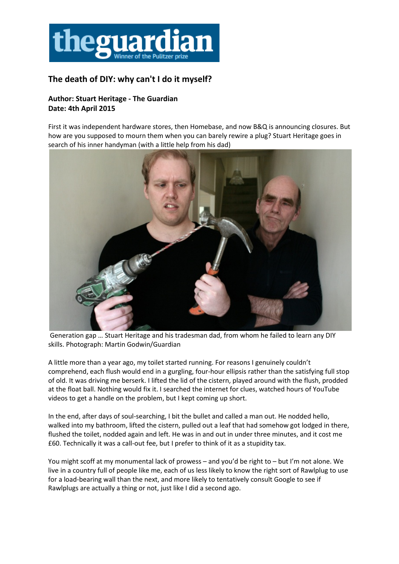

#### **The death of DIY: why can't I do it myself?**

#### **Author: Stuart Heritage - The Guardian Date: 4th April 2015**

First it was independent hardware stores, then Homebase, and now B&Q is announcing closures. But how are you supposed to mourn them when you can barely rewire a plug? Stuart Heritage goes in search of his inner handyman (with a little help from his dad)



Generation gap … Stuart Heritage and his tradesman dad, from whom he failed to learn any DIY skills. Photograph: Martin Godwin/Guardian

A little more than a year ago, my toilet started running. For reasons I genuinely couldn't comprehend, each flush would end in a gurgling, four-hour ellipsis rather than the satisfying full stop of old. It was driving me berserk. I lifted the lid of the cistern, played around with the flush, prodded at the float ball. Nothing would fix it. I searched the internet for clues, watched hours of YouTube videos to get a handle on the problem, but I kept coming up short.

In the end, after days of soul-searching, I bit the bullet and called a man out. He nodded hello, walked into my bathroom, lifted the cistern, pulled out a leaf that had somehow got lodged in there, flushed the toilet, nodded again and left. He was in and out in under three minutes, and it cost me £60. Technically it was a call-out fee, but I prefer to think of it as a stupidity tax.

You might scoff at my monumental lack of prowess – and you'd be right to – but I'm not alone. We live in a country full of people like me, each of us less likely to know the right sort of Rawlplug to use for a load-bearing wall than the next, and more likely to tentatively consult Google to see if Rawlplugs are actually a thing or not, just like I did a second ago.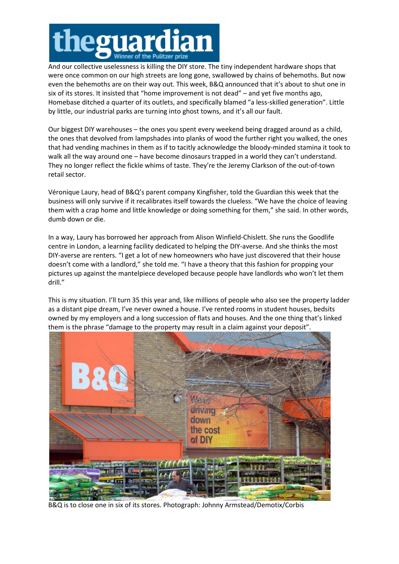# theguardi **Winner of the Pulitzer prize**

And our collective uselessness is killing the DIY store. The tiny independent hardware shops that were once common on our high streets are long gone, swallowed by chains of behemoths. But now even the behemoths are on their way out. This week, B&Q announced that it's about to shut one in six of its stores. It insisted that "home improvement is not dead" – and yet five months ago, Homebase ditched a quarter of its outlets, and specifically blamed "a less-skilled generation". Little by little, our industrial parks are turning into ghost towns, and it's all our fault.

Our biggest DIY warehouses – the ones you spent every weekend being dragged around as a child, the ones that devolved from lampshades into planks of wood the further right you walked, the ones that had vending machines in them as if to tacitly acknowledge the bloody-minded stamina it took to walk all the way around one – have become dinosaurs trapped in a world they can't understand. They no longer reflect the fickle whims of taste. They're the Jeremy Clarkson of the out-of-town retail sector.

Véronique Laury, head of B&Q's parent company Kingfisher, told the Guardian this week that the business will only survive if it recalibrates itself towards the clueless. "We have the choice of leaving them with a crap home and little knowledge or doing something for them," she said. In other words, dumb down or die.

In a way, Laury has borrowed her approach from Alison Winfield-Chislett. She runs the Goodlife centre in London, a learning facility dedicated to helping the DIY-averse. And she thinks the most DIY-averse are renters. "I get a lot of new homeowners who have just discovered that their house doesn't come with a landlord," she told me. "I have a theory that this fashion for propping your pictures up against the mantelpiece developed because people have landlords who won't let them drill."

This is my situation. I'll turn 35 this year and, like millions of people who also see the property ladder as a distant pipe dream, I've never owned a house. I've rented rooms in student houses, bedsits owned by my employers and a long succession of flats and houses. And the one thing that's linked them is the phrase "damage to the property may result in a claim against your deposit".



B&Q is to close one in six of its stores. Photograph: Johnny Armstead/Demotix/Corbis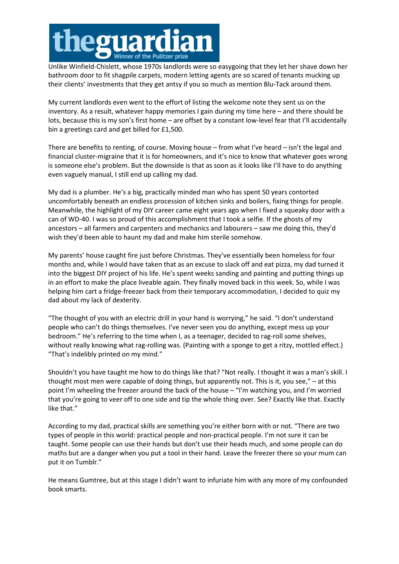# eguard **Winner of the Pulitzer prize**

Unlike Winfield-Chislett, whose 1970s landlords were so easygoing that they let her shave down her bathroom door to fit shagpile carpets, modern letting agents are so scared of tenants mucking up their clients' investments that they get antsy if you so much as mention Blu-Tack around them.

My current landlords even went to the effort of listing the welcome note they sent us on the inventory. As a result, whatever happy memories I gain during my time here – and there should be lots, because this is my son's first home – are offset by a constant low-level fear that I'll accidentally bin a greetings card and get billed for £1,500.

There are benefits to renting, of course. Moving house – from what I've heard – isn't the legal and financial cluster-migraine that it is for homeowners, and it's nice to know that whatever goes wrong is someone else's problem. But the downside is that as soon as it looks like I'll have to do anything even vaguely manual, I still end up calling my dad.

My dad is a plumber. He's a big, practically minded man who has spent 50 years contorted uncomfortably beneath an endless procession of kitchen sinks and boilers, fixing things for people. Meanwhile, the highlight of my DIY career came eight years ago when I fixed a squeaky door with a can of WD-40. I was so proud of this accomplishment that I took a selfie. If the ghosts of my ancestors – all farmers and carpenters and mechanics and labourers – saw me doing this, they'd wish they'd been able to haunt my dad and make him sterile somehow.

My parents' house caught fire just before Christmas. They've essentially been homeless for four months and, while I would have taken that as an excuse to slack off and eat pizza, my dad turned it into the biggest DIY project of his life. He's spent weeks sanding and painting and putting things up in an effort to make the place liveable again. They finally moved back in this week. So, while I was helping him cart a fridge-freezer back from their temporary accommodation, I decided to quiz my dad about my lack of dexterity.

"The thought of you with an electric drill in your hand is worrying," he said. "I don't understand people who can't do things themselves. I've never seen you do anything, except mess up your bedroom." He's referring to the time when I, as a teenager, decided to rag-roll some shelves, without really knowing what rag-rolling was. (Painting with a sponge to get a ritzy, mottled effect.) "That's indelibly printed on my mind."

Shouldn't you have taught me how to do things like that? "Not really. I thought it was a man's skill. I thought most men were capable of doing things, but apparently not. This is it, you see," – at this point I'm wheeling the freezer around the back of the house – "I'm watching you, and I'm worried that you're going to veer off to one side and tip the whole thing over. See? Exactly like that. Exactly like that."

According to my dad, practical skills are something you're either born with or not. "There are two types of people in this world: practical people and non-practical people. I'm not sure it can be taught. Some people can use their hands but don't use their heads much, and some people can do maths but are a danger when you put a tool in their hand. Leave the freezer there so your mum can put it on Tumblr."

He means Gumtree, but at this stage I didn't want to infuriate him with any more of my confounded book smarts.